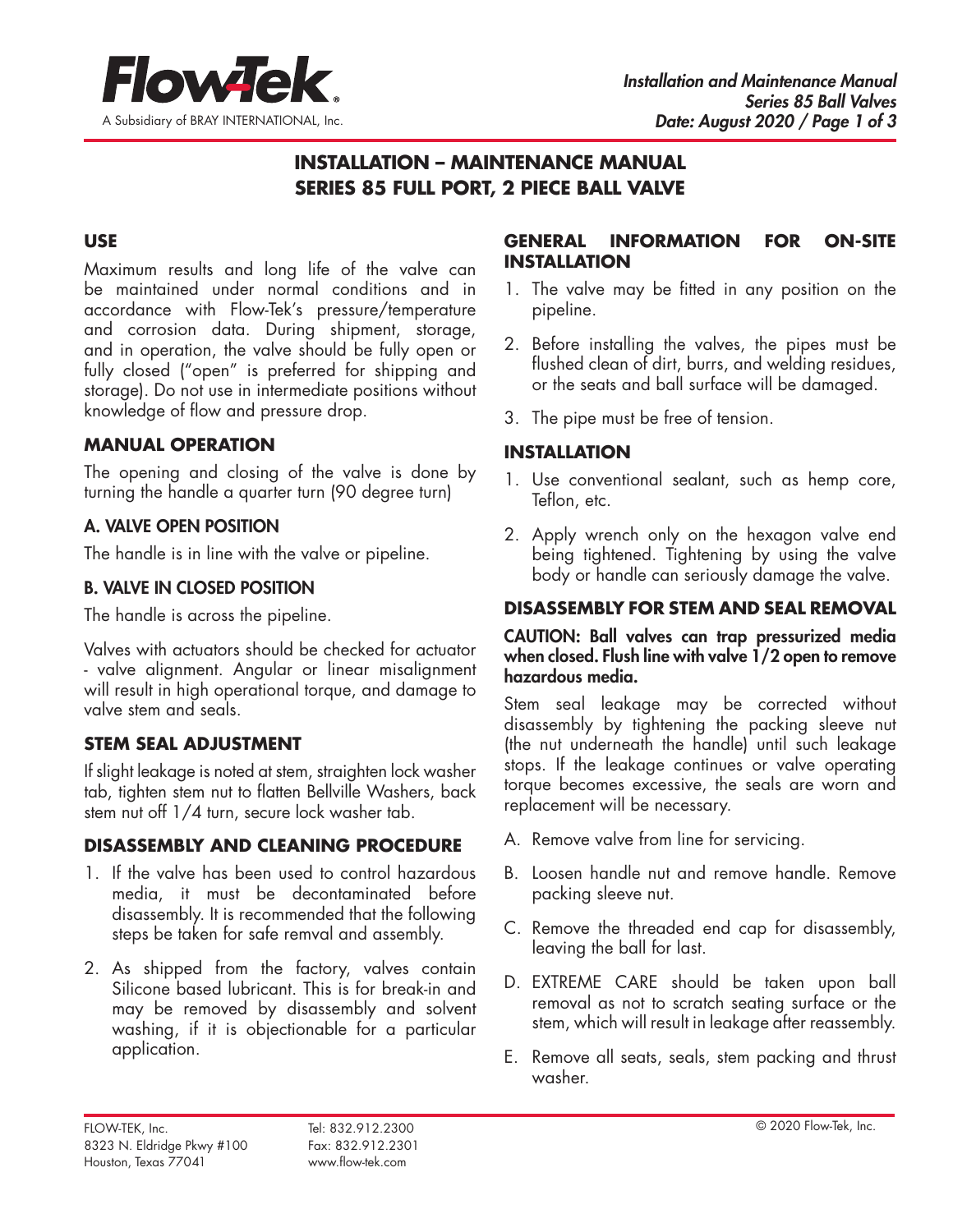

# **INSTALLATION – MAINTENANCE MANUAL SERIES 85 FULL PORT, 2 PIECE BALL VALVE**

### **USE**

Maximum results and long life of the valve can be maintained under normal conditions and in accordance with Flow-Tek's pressure/temperature and corrosion data. During shipment, storage, and in operation, the valve should be fully open or fully closed ("open" is preferred for shipping and storage). Do not use in intermediate positions without knowledge of flow and pressure drop.

### **MANUAL OPERATION**

The opening and closing of the valve is done by turning the handle a quarter turn (90 degree turn)

### A. VALVE OPEN POSITION

The handle is in line with the valve or pipeline.

### B. VALVE IN CLOSED POSITION

The handle is across the pipeline.

Valves with actuators should be checked for actuator - valve alignment. Angular or linear misalignment will result in high operational torque, and damage to valve stem and seals.

# **STEM SEAL ADJUSTMENT**

If slight leakage is noted at stem, straighten lock washer tab, tighten stem nut to flatten Bellville Washers, back stem nut off 1/4 turn, secure lock washer tab.

# **DISASSEMBLY AND CLEANING PROCEDURE**

- 1. If the valve has been used to control hazardous media, it must be decontaminated before disassembly. It is recommended that the following steps be taken for safe remval and assembly.
- 2. As shipped from the factory, valves contain Silicone based lubricant. This is for break-in and may be removed by disassembly and solvent washing, if it is objectionable for a particular application.

### **GENERAL INFORMATION FOR ON-SITE INSTALLATION**

- 1. The valve may be fitted in any position on the pipeline.
- 2. Before installing the valves, the pipes must be flushed clean of dirt, burrs, and welding residues, or the seats and ball surface will be damaged.
- 3. The pipe must be free of tension.

# **INSTALLATION**

- 1. Use conventional sealant, such as hemp core, Teflon, etc.
- 2. Apply wrench only on the hexagon valve end being tightened. Tightening by using the valve body or handle can seriously damage the valve.

# **DISASSEMBLY FOR STEM AND SEAL REMOVAL**

#### CAUTION: Ball valves can trap pressurized media when closed. Flush line with valve 1/2 open to remove hazardous media.

Stem seal leakage may be corrected without disassembly by tightening the packing sleeve nut (the nut underneath the handle) until such leakage stops. If the leakage continues or valve operating torque becomes excessive, the seals are worn and replacement will be necessary.

- A. Remove valve from line for servicing.
- B. Loosen handle nut and remove handle. Remove packing sleeve nut.
- C. Remove the threaded end cap for disassembly, leaving the ball for last.
- D. EXTREME CARE should be taken upon ball removal as not to scratch seating surface or the stem, which will result in leakage after reassembly.
- E. Remove all seats, seals, stem packing and thrust washer.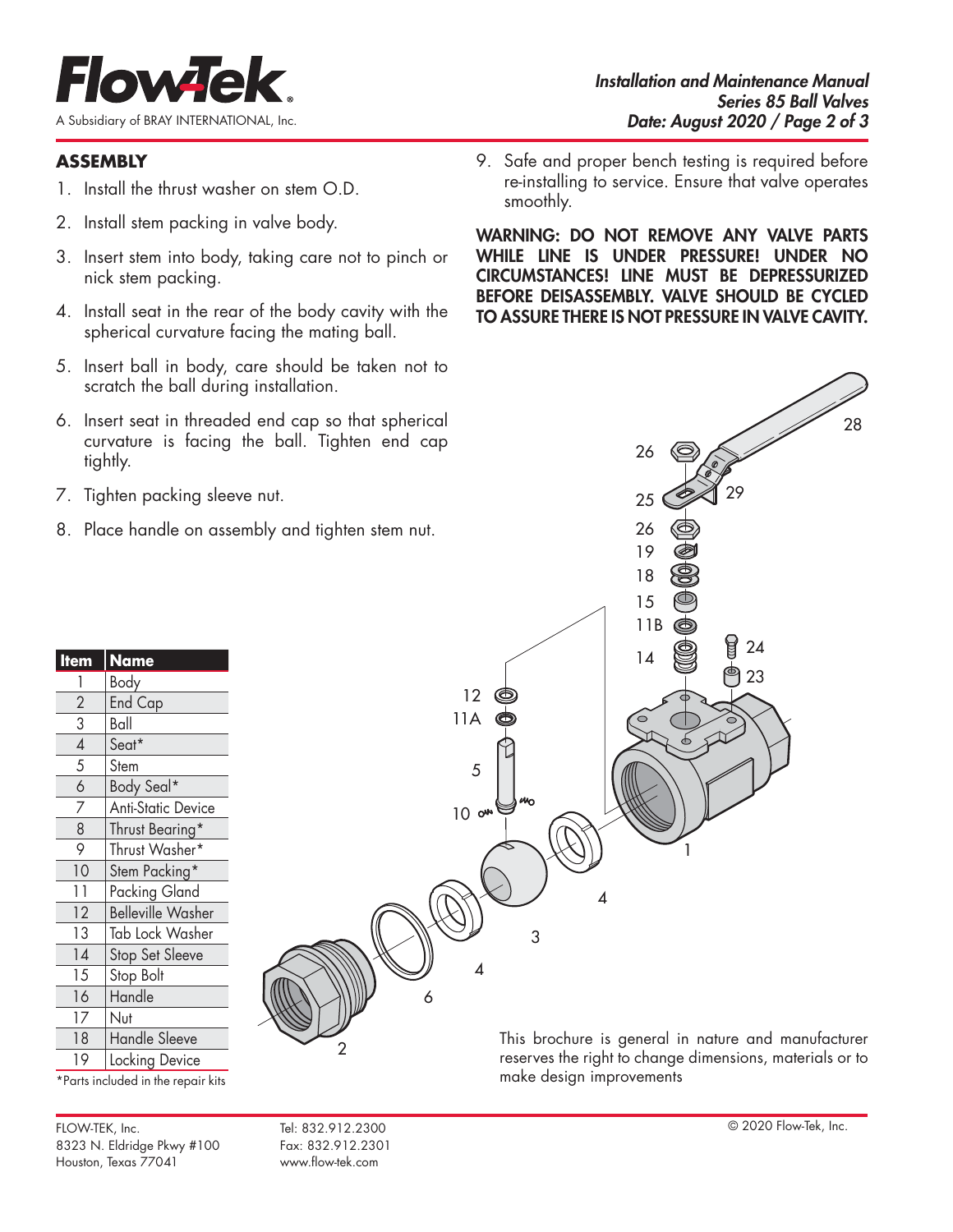

# **ASSEMBLY**

- 1. Install the thrust washer on stem O.D.
- 2. Install stem packing in valve body.
- 3. Insert stem into body, taking care not to pinch or nick stem packing.
- 4. Install seat in the rear of the body cavity with the spherical curvature facing the mating ball.
- 5. Insert ball in body, care should be taken not to scratch the ball during installation.
- 6. Insert seat in threaded end cap so that spherical curvature is facing the ball. Tighten end cap tightly.
- 7. Tighten packing sleeve nut.
- 8. Place handle on assembly and tighten stem nut.

| 9. Safe and proper bench testing is required before  |
|------------------------------------------------------|
| re-installing to service. Ensure that valve operates |
| smoothly.                                            |

WARNING: DO NOT REMOVE ANY VALVE PARTS WHILE LINE IS UNDER PRESSURE! UNDER NO CIRCUMSTANCES! LINE MUST BE DEPRESSURIZED BEFORE DEISASSEMBLY. VALVE SHOULD BE CYCLED TO ASSURE THERE IS NOT PRESSURE IN VALVE CAVITY.



\*Parts included in the repair kits

17 Nut

3 Ball

FLOW-TEK, Inc. Tel: 832.912.2300 © 2020 Flow-Tek, Inc. 8323 N. Eldridge Pkwy #100 Fax: 832.912.2301 Houston, Texas 77041 www.flow-tek.com